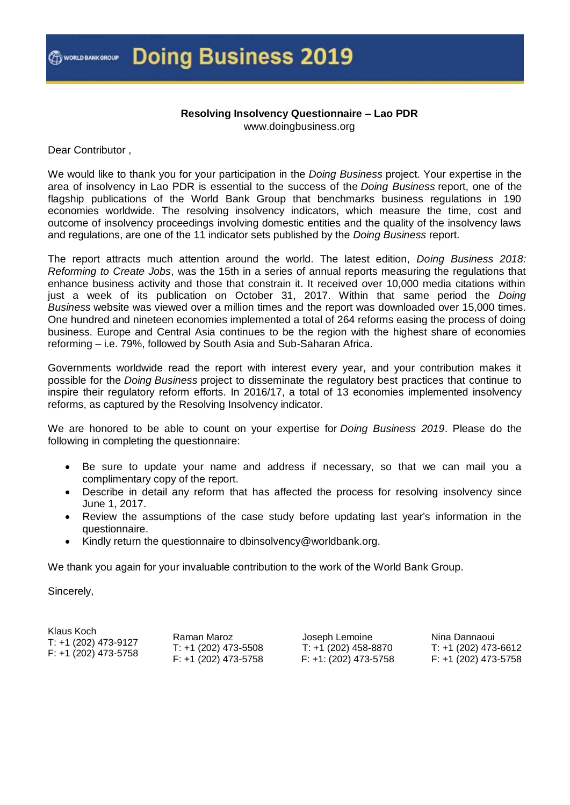**Doing Business 2019** 

#### **Resolving Insolvency Questionnaire – Lao PDR** www.doingbusiness.org

Dear Contributor ,

We would like to thank you for your participation in the *Doing Business* project. Your expertise in the area of insolvency in Lao PDR is essential to the success of the *Doing Business* report, one of the flagship publications of the World Bank Group that benchmarks business regulations in 190 economies worldwide. The resolving insolvency indicators, which measure the time, cost and outcome of insolvency proceedings involving domestic entities and the quality of the insolvency laws and regulations, are one of the 11 indicator sets published by the *Doing Business* report.

The report attracts much attention around the world. The latest edition, *Doing Business 2018: Reforming to Create Jobs*, was the 15th in a series of annual reports measuring the regulations that enhance business activity and those that constrain it. It received over 10,000 media citations within just a week of its publication on October 31, 2017. Within that same period the *Doing Business* website was viewed over a million times and the report was downloaded over 15,000 times. One hundred and nineteen economies implemented a total of 264 reforms easing the process of doing business. Europe and Central Asia continues to be the region with the highest share of economies reforming – i.e. 79%, followed by South Asia and Sub-Saharan Africa.

Governments worldwide read the report with interest every year, and your contribution makes it possible for the *Doing Business* project to disseminate the regulatory best practices that continue to inspire their regulatory reform efforts. In 2016/17, a total of 13 economies implemented insolvency reforms, as captured by the Resolving Insolvency indicator.

We are honored to be able to count on your expertise for *Doing Business 2019*. Please do the following in completing the questionnaire:

- Be sure to update your name and address if necessary, so that we can mail you a complimentary copy of the report.
- Describe in detail any reform that has affected the process for resolving insolvency since June 1, 2017.
- Review the assumptions of the case study before updating last year's information in the questionnaire.
- Kindly return the questionnaire to dbinsolvency@worldbank.org.

We thank you again for your invaluable contribution to the work of the World Bank Group.

Sincerely,

| Klaus Koch           |                       |                       |                      |
|----------------------|-----------------------|-----------------------|----------------------|
|                      | Raman Maroz           | Joseph Lemoine        | Nina Dannaoui        |
| T: +1 (202) 473-9127 | $T: +1(202)$ 473-5508 | T: +1 (202) 458-8870  | T: +1 (202) 473-6612 |
| F: +1 (202) 473-5758 | F: +1 (202) 473-5758  | F: +1: (202) 473-5758 | F: +1 (202) 473-5758 |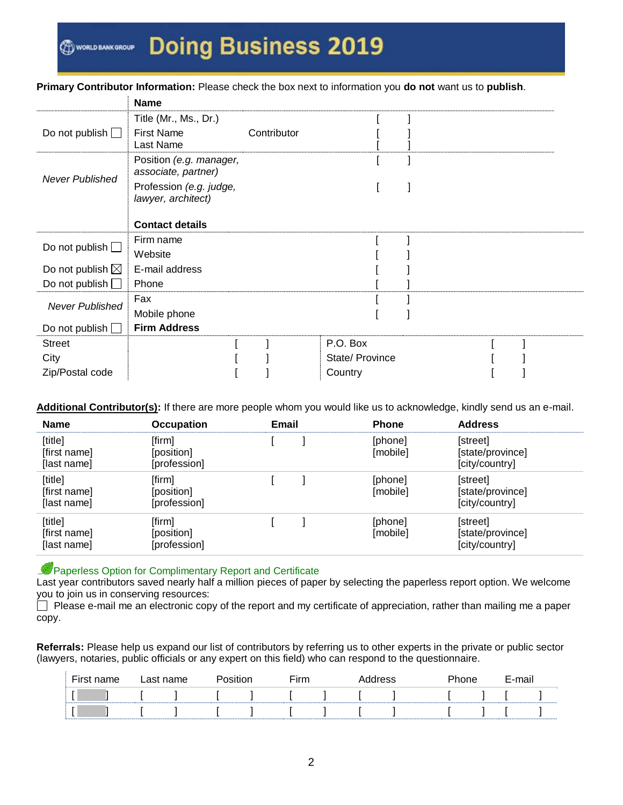#### **Primary Contributor Information:** Please check the box next to information you **do not** want us to **publish**.

|                            | <b>Name</b>                                    |             |                 |  |  |
|----------------------------|------------------------------------------------|-------------|-----------------|--|--|
|                            | Title (Mr., Ms., Dr.)                          |             |                 |  |  |
| Do not publish $\Box$      | <b>First Name</b>                              | Contributor |                 |  |  |
|                            | Last Name                                      |             |                 |  |  |
| Never Published            | Position (e.g. manager,<br>associate, partner) |             |                 |  |  |
|                            | Profession (e.g. judge,<br>lawyer, architect)  |             |                 |  |  |
|                            |                                                |             |                 |  |  |
|                            | <b>Contact details</b>                         |             |                 |  |  |
| Do not publish $\square$   | Firm name                                      |             |                 |  |  |
|                            | Website                                        |             |                 |  |  |
| Do not publish $\boxtimes$ | E-mail address                                 |             |                 |  |  |
| Do not publish [           | Phone                                          |             |                 |  |  |
| <b>Never Published</b>     | Fax                                            |             |                 |  |  |
|                            | Mobile phone                                   |             |                 |  |  |
| Do not publish $\Box$      | <b>Firm Address</b>                            |             |                 |  |  |
| <b>Street</b>              |                                                |             | P.O. Box        |  |  |
| City                       |                                                |             | State/ Province |  |  |
| Zip/Postal code            |                                                |             | Country         |  |  |

**Additional Contributor(s):** If there are more people whom you would like us to acknowledge, kindly send us an e-mail.

| <b>Name</b>                            | <b>Occupation</b>                    | <b>Email</b> | <b>Phone</b>        | <b>Address</b>                                 |
|----------------------------------------|--------------------------------------|--------------|---------------------|------------------------------------------------|
| [title]<br>[first name]<br>[last name] | [firm]<br>[position]<br>[profession] |              | [phone]<br>[mobile] | [street]<br>[state/province]<br>[city/country] |
| [title]<br>[first name]<br>[last name] | [firm]<br>[position]<br>[profession] |              | [phone]<br>[mobile] | [street]<br>[state/province]<br>[city/country] |
| [title]<br>[first name]<br>[last name] | [firm]<br>[position]<br>[profession] |              | [phone]<br>[mobile] | [street]<br>[state/province]<br>[city/country] |

**Paperless Option for Complimentary Report and Certificate** 

Last year contributors saved nearly half a million pieces of paper by selecting the paperless report option. We welcome you to join us in conserving resources:

Please e-mail me an electronic copy of the report and my certificate of appreciation, rather than mailing me a paper copy.

**Referrals:** Please help us expand our list of contributors by referring us to other experts in the private or public sector (lawyers, notaries, public officials or any expert on this field) who can respond to the questionnaire.

| First name | -act | `name |  | $\mathop{\mathsf{Sim}}$ |  | dress | ີ <sub>້</sub> ∿∩ne | E-mail |  |
|------------|------|-------|--|-------------------------|--|-------|---------------------|--------|--|
|            |      |       |  |                         |  |       |                     |        |  |
|            |      |       |  |                         |  |       |                     |        |  |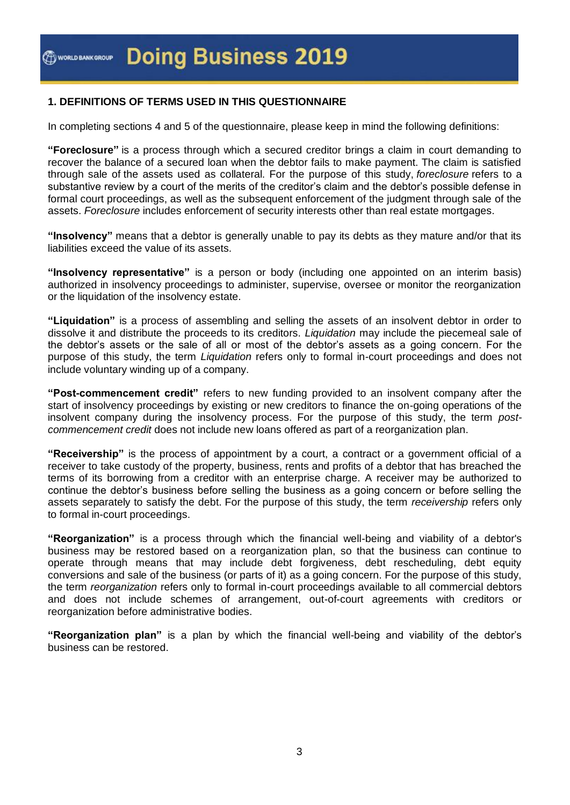### **1. DEFINITIONS OF TERMS USED IN THIS QUESTIONNAIRE**

In completing sections 4 and 5 of the questionnaire, please keep in mind the following definitions:

**"Foreclosure"** is a process through which a secured creditor brings a claim in court demanding to recover the balance of a secured loan when the debtor fails to make payment. The claim is satisfied through sale of the assets used as collateral. For the purpose of this study, *foreclosure* refers to a substantive review by a court of the merits of the creditor's claim and the debtor's possible defense in formal court proceedings, as well as the subsequent enforcement of the judgment through sale of the assets. *Foreclosure* includes enforcement of security interests other than real estate mortgages.

**"Insolvency"** means that a debtor is generally unable to pay its debts as they mature and/or that its liabilities exceed the value of its assets.

**"Insolvency representative"** is a person or body (including one appointed on an interim basis) authorized in insolvency proceedings to administer, supervise, oversee or monitor the reorganization or the liquidation of the insolvency estate.

**"Liquidation"** is a process of assembling and selling the assets of an insolvent debtor in order to dissolve it and distribute the proceeds to its creditors. *Liquidation* may include the piecemeal sale of the debtor's assets or the sale of all or most of the debtor's assets as a going concern. For the purpose of this study, the term *Liquidation* refers only to formal in-court proceedings and does not include voluntary winding up of a company.

**"Post-commencement credit"** refers to new funding provided to an insolvent company after the start of insolvency proceedings by existing or new creditors to finance the on-going operations of the insolvent company during the insolvency process. For the purpose of this study, the term *postcommencement credit* does not include new loans offered as part of a reorganization plan.

**"Receivership"** is the process of appointment by a court, a contract or a government official of a receiver to take custody of the property, business, rents and profits of a debtor that has breached the terms of its borrowing from a creditor with an enterprise charge. A receiver may be authorized to continue the debtor's business before selling the business as a going concern or before selling the assets separately to satisfy the debt. For the purpose of this study, the term *receivership* refers only to formal in-court proceedings.

**"Reorganization"** is a process through which the financial well-being and viability of a debtor's business may be restored based on a reorganization plan, so that the business can continue to operate through means that may include debt forgiveness, debt rescheduling, debt equity conversions and sale of the business (or parts of it) as a going concern. For the purpose of this study, the term *reorganization* refers only to formal in-court proceedings available to all commercial debtors and does not include schemes of arrangement, out-of-court agreements with creditors or reorganization before administrative bodies.

**"Reorganization plan"** is a plan by which the financial well-being and viability of the debtor's business can be restored.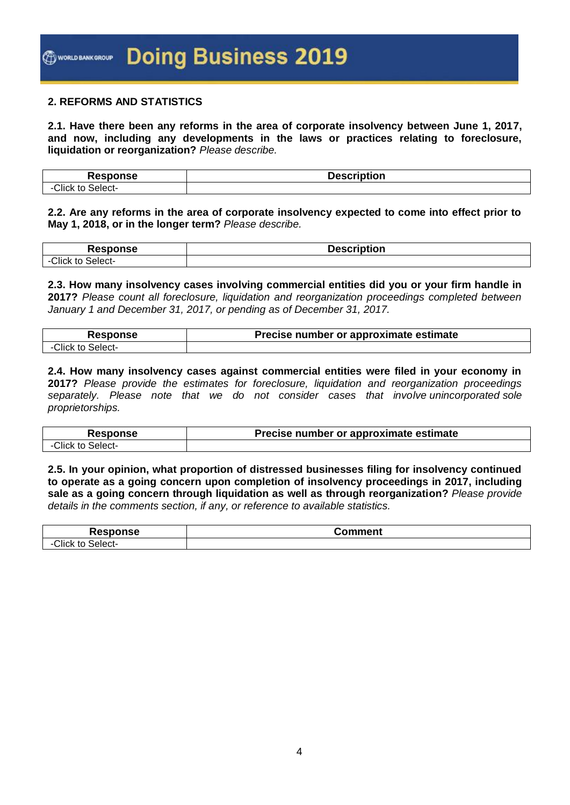#### **2. REFORMS AND STATISTICS**

**2.1. Have there been any reforms in the area of corporate insolvency between June 1, 2017, and now, including any developments in the laws or practices relating to foreclosure, liquidation or reorganization?** *Please describe.*

| -<br>.<br>---<br>−                           | tion |
|----------------------------------------------|------|
| $C$ lick<br>selec<br>- 10<br>$-1$<br>. : I = |      |

**2.2. Are any reforms in the area of corporate insolvency expected to come into effect prior to May 1, 2018, or in the longer term?** *Please describe.*

| 'esponse                                                    | <b>escription</b><br>אמו. |
|-------------------------------------------------------------|---------------------------|
| $\bigcap$ index to $\bigcup$<br>select<br>UIICK<br>່ເບ<br>- |                           |

**2.3. How many insolvency cases involving commercial entities did you or your firm handle in 2017?** *Please count all foreclosure, liquidation and reorganization proceedings completed between January 1 and December 31, 2017, or pending as of December 31, 2017.*

| <b>Response</b>   | Precise number or approximate estimate |
|-------------------|----------------------------------------|
| -Click to Select- |                                        |

**2.4. How many insolvency cases against commercial entities were filed in your economy in 2017?** *Please provide the estimates for foreclosure, liquidation and reorganization proceedings separately. Please note that we do not consider cases that involve unincorporated sole proprietorships.*

| <b>Response</b>   | Precise number or approximate estimate |
|-------------------|----------------------------------------|
| -Click to Select- |                                        |

**2.5. In your opinion, what proportion of distressed businesses filing for insolvency continued to operate as a going concern upon completion of insolvency proceedings in 2017, including sale as a going concern through liquidation as well as through reorganization?** *Please provide details in the comments section, if any, or reference to available statistics.*

|                                   | $       -$<br>nen.<br>. |
|-----------------------------------|-------------------------|
| $C$ lick,<br>.<br>alect-<br>.uN 1 |                         |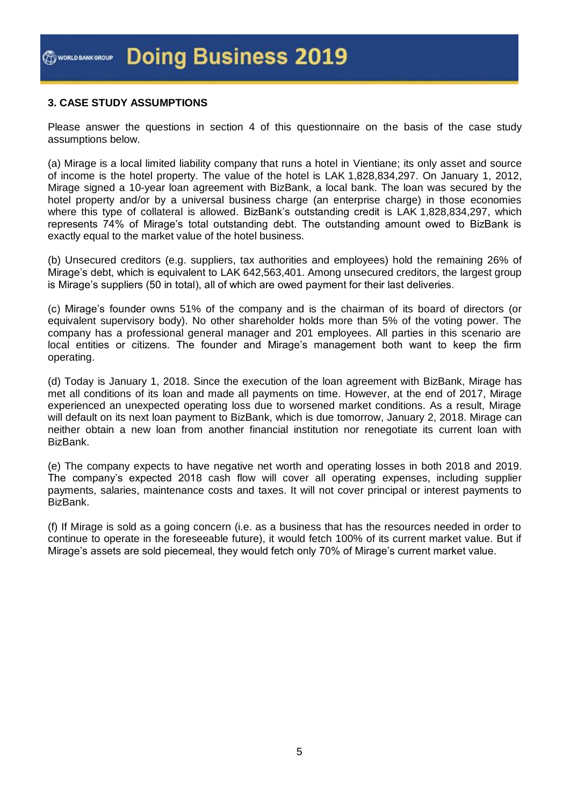### **3. CASE STUDY ASSUMPTIONS**

Please answer the questions in section 4 of this questionnaire on the basis of the case study assumptions below.

(a) Mirage is a local limited liability company that runs a hotel in Vientiane; its only asset and source of income is the hotel property. The value of the hotel is LAK 1,828,834,297. On January 1, 2012, Mirage signed a 10-year loan agreement with BizBank, a local bank. The loan was secured by the hotel property and/or by a universal business charge (an enterprise charge) in those economies where this type of collateral is allowed. BizBank's outstanding credit is LAK 1,828,834,297, which represents 74% of Mirage's total outstanding debt. The outstanding amount owed to BizBank is exactly equal to the market value of the hotel business.

(b) Unsecured creditors (e.g. suppliers, tax authorities and employees) hold the remaining 26% of Mirage's debt, which is equivalent to LAK 642,563,401. Among unsecured creditors, the largest group is Mirage's suppliers (50 in total), all of which are owed payment for their last deliveries.

(c) Mirage's founder owns 51% of the company and is the chairman of its board of directors (or equivalent supervisory body). No other shareholder holds more than 5% of the voting power. The company has a professional general manager and 201 employees. All parties in this scenario are local entities or citizens. The founder and Mirage's management both want to keep the firm operating.

(d) Today is January 1, 2018. Since the execution of the loan agreement with BizBank, Mirage has met all conditions of its loan and made all payments on time. However, at the end of 2017, Mirage experienced an unexpected operating loss due to worsened market conditions. As a result, Mirage will default on its next loan payment to BizBank, which is due tomorrow, January 2, 2018. Mirage can neither obtain a new loan from another financial institution nor renegotiate its current loan with BizBank.

(e) The company expects to have negative net worth and operating losses in both 2018 and 2019. The company's expected 2018 cash flow will cover all operating expenses, including supplier payments, salaries, maintenance costs and taxes. It will not cover principal or interest payments to BizBank.

(f) If Mirage is sold as a going concern (i.e. as a business that has the resources needed in order to continue to operate in the foreseeable future), it would fetch 100% of its current market value. But if Mirage's assets are sold piecemeal, they would fetch only 70% of Mirage's current market value.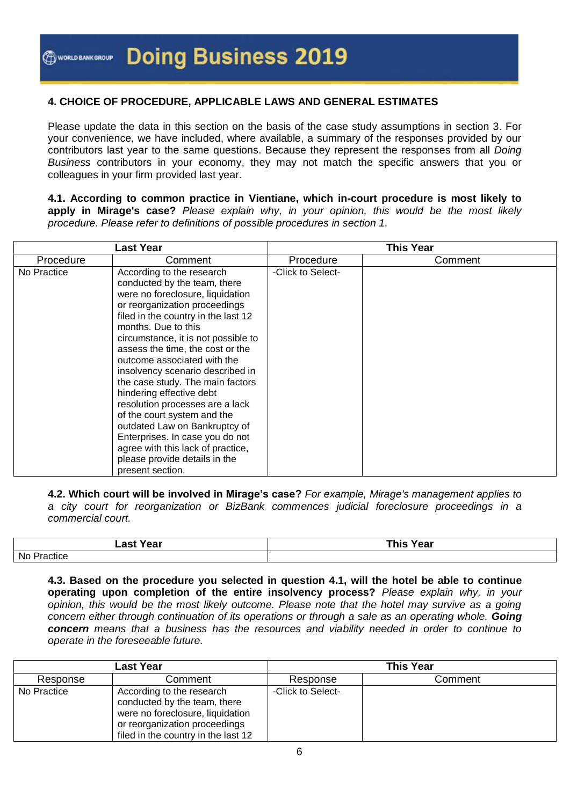### **4. CHOICE OF PROCEDURE, APPLICABLE LAWS AND GENERAL ESTIMATES**

Please update the data in this section on the basis of the case study assumptions in section 3. For your convenience, we have included, where available, a summary of the responses provided by our contributors last year to the same questions. Because they represent the responses from all *Doing Business* contributors in your economy, they may not match the specific answers that you or colleagues in your firm provided last year.

**4.1. According to common practice in Vientiane, which in-court procedure is most likely to apply in Mirage's case?** *Please explain why, in your opinion, this would be the most likely procedure. Please refer to definitions of possible procedures in section 1.*

| <b>Last Year</b> |                                     |                   | <b>This Year</b> |
|------------------|-------------------------------------|-------------------|------------------|
| Procedure        | Comment                             | Procedure         | Comment          |
| No Practice      | According to the research           | -Click to Select- |                  |
|                  | conducted by the team, there        |                   |                  |
|                  | were no foreclosure, liquidation    |                   |                  |
|                  | or reorganization proceedings       |                   |                  |
|                  | filed in the country in the last 12 |                   |                  |
|                  | months. Due to this                 |                   |                  |
|                  | circumstance, it is not possible to |                   |                  |
|                  | assess the time, the cost or the    |                   |                  |
|                  | outcome associated with the         |                   |                  |
|                  | insolvency scenario described in    |                   |                  |
|                  | the case study. The main factors    |                   |                  |
|                  | hindering effective debt            |                   |                  |
|                  | resolution processes are a lack     |                   |                  |
|                  | of the court system and the         |                   |                  |
|                  | outdated Law on Bankruptcy of       |                   |                  |
|                  | Enterprises. In case you do not     |                   |                  |
|                  | agree with this lack of practice,   |                   |                  |
|                  | please provide details in the       |                   |                  |
|                  | present section.                    |                   |                  |

**4.2. Which court will be involved in Mirage's case?** *For example, Mirage's management applies to a city court for reorganization or BizBank commences judicial foreclosure proceedings in a commercial court.*

| Year                    | $\blacksquare$ |
|-------------------------|----------------|
| -22                     | <b>This</b>    |
| _a>                     | ,              |
| . .                     | ea             |
| No .<br><b>Practice</b> |                |

**4.3. Based on the procedure you selected in question 4.1, will the hotel be able to continue operating upon completion of the entire insolvency process?** *Please explain why, in your opinion, this would be the most likely outcome. Please note that the hotel may survive as a going concern either through continuation of its operations or through a sale as an operating whole. Going concern means that a business has the resources and viability needed in order to continue to operate in the foreseeable future.*

| <b>Last Year</b> |                                                                                                                                                                       |                   | <b>This Year</b> |
|------------------|-----------------------------------------------------------------------------------------------------------------------------------------------------------------------|-------------------|------------------|
| Response         | Comment                                                                                                                                                               | Response          | Comment          |
| No Practice      | According to the research<br>conducted by the team, there<br>were no foreclosure, liquidation<br>or reorganization proceedings<br>filed in the country in the last 12 | -Click to Select- |                  |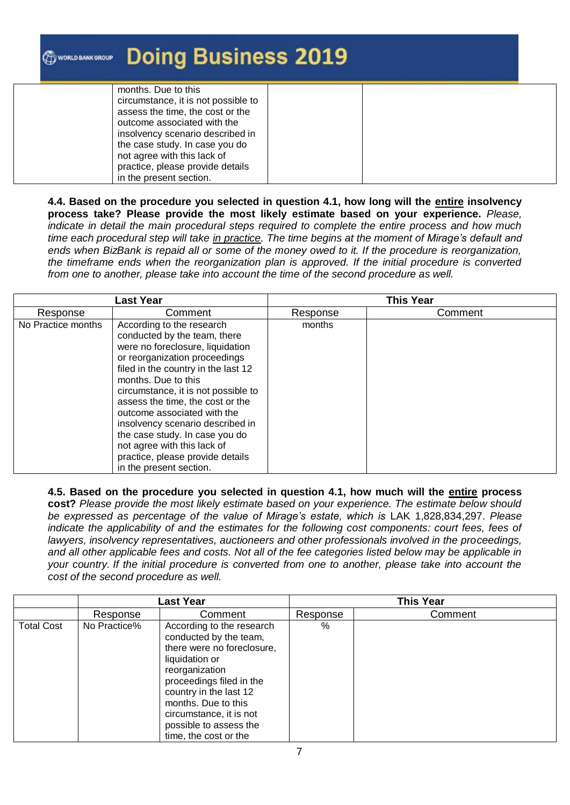| <b>@www.casure Doing Business 2019</b>                                                         |  |  |
|------------------------------------------------------------------------------------------------|--|--|
| months. Due to this<br>circumstance, it is not possible to<br>assess the time, the cost or the |  |  |
| outcome associated with the<br>insolvency scenario described in                                |  |  |
| the case study. In case you do<br>not agree with this lack of                                  |  |  |
| practice, please provide details<br>in the present section.                                    |  |  |

**4.4. Based on the procedure you selected in question 4.1, how long will the entire insolvency process take? Please provide the most likely estimate based on your experience.** *Please, indicate in detail the main procedural steps required to complete the entire process and how much time each procedural step will take in practice. The time begins at the moment of Mirage's default and ends when BizBank is repaid all or some of the money owed to it. If the procedure is reorganization, the timeframe ends when the reorganization plan is approved. If the initial procedure is converted from one to another, please take into account the time of the second procedure as well.*

| <b>Last Year</b>   |                                                                                                                                                                                                                                                                                                                                                                                                                                                                            |          | <b>This Year</b> |
|--------------------|----------------------------------------------------------------------------------------------------------------------------------------------------------------------------------------------------------------------------------------------------------------------------------------------------------------------------------------------------------------------------------------------------------------------------------------------------------------------------|----------|------------------|
| Response           | Comment                                                                                                                                                                                                                                                                                                                                                                                                                                                                    | Response | Comment          |
| No Practice months | According to the research<br>conducted by the team, there<br>were no foreclosure, liquidation<br>or reorganization proceedings<br>filed in the country in the last 12<br>months. Due to this<br>circumstance, it is not possible to<br>assess the time, the cost or the<br>outcome associated with the<br>insolvency scenario described in<br>the case study. In case you do<br>not agree with this lack of<br>practice, please provide details<br>in the present section. | months   |                  |

**4.5. Based on the procedure you selected in question 4.1, how much will the entire process cost?** *Please provide the most likely estimate based on your experience. The estimate below should be expressed as percentage of the value of Mirage's estate, which is* LAK 1,828,834,297. *Please indicate the applicability of and the estimates for the following cost components: court fees, fees of lawyers, insolvency representatives, auctioneers and other professionals involved in the proceedings, and all other applicable fees and costs. Not all of the fee categories listed below may be applicable in your country. If the initial procedure is converted from one to another, please take into account the cost of the second procedure as well.*

|                   | <b>Last Year</b> |                                                                                                                                                                                                                                                                                  |          | <b>This Year</b> |
|-------------------|------------------|----------------------------------------------------------------------------------------------------------------------------------------------------------------------------------------------------------------------------------------------------------------------------------|----------|------------------|
|                   | Response         | Comment                                                                                                                                                                                                                                                                          | Response | Comment          |
| <b>Total Cost</b> | No Practice%     | According to the research<br>conducted by the team,<br>there were no foreclosure,<br>liquidation or<br>reorganization<br>proceedings filed in the<br>country in the last 12<br>months. Due to this<br>circumstance, it is not<br>possible to assess the<br>time, the cost or the | $\%$     |                  |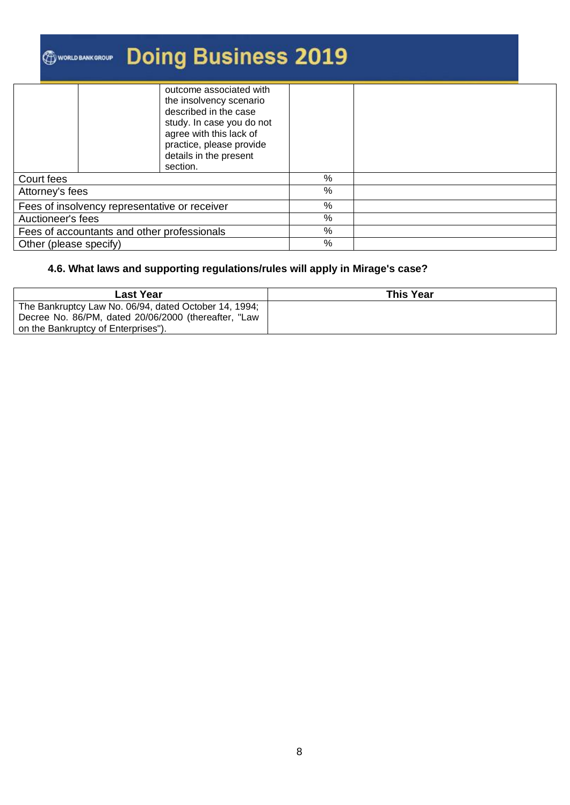# **Doing Business 2019** WORLD BANK GROUP

|                                             |                                               | outcome associated with<br>the insolvency scenario<br>described in the case<br>study. In case you do not<br>agree with this lack of<br>practice, please provide<br>details in the present<br>section. |   |  |
|---------------------------------------------|-----------------------------------------------|-------------------------------------------------------------------------------------------------------------------------------------------------------------------------------------------------------|---|--|
| Court fees                                  |                                               |                                                                                                                                                                                                       | % |  |
| Attorney's fees                             |                                               |                                                                                                                                                                                                       | % |  |
|                                             | Fees of insolvency representative or receiver |                                                                                                                                                                                                       | % |  |
| Auctioneer's fees                           |                                               | %                                                                                                                                                                                                     |   |  |
| Fees of accountants and other professionals |                                               | %                                                                                                                                                                                                     |   |  |
| Other (please specify)                      |                                               |                                                                                                                                                                                                       | % |  |

## **4.6. What laws and supporting regulations/rules will apply in Mirage's case?**

| <b>Last Year</b>                                      | <b>This Year</b> |
|-------------------------------------------------------|------------------|
| The Bankruptcy Law No. 06/94, dated October 14, 1994; |                  |
| Decree No. 86/PM, dated 20/06/2000 (thereafter, "Law  |                  |
| on the Bankruptcy of Enterprises").                   |                  |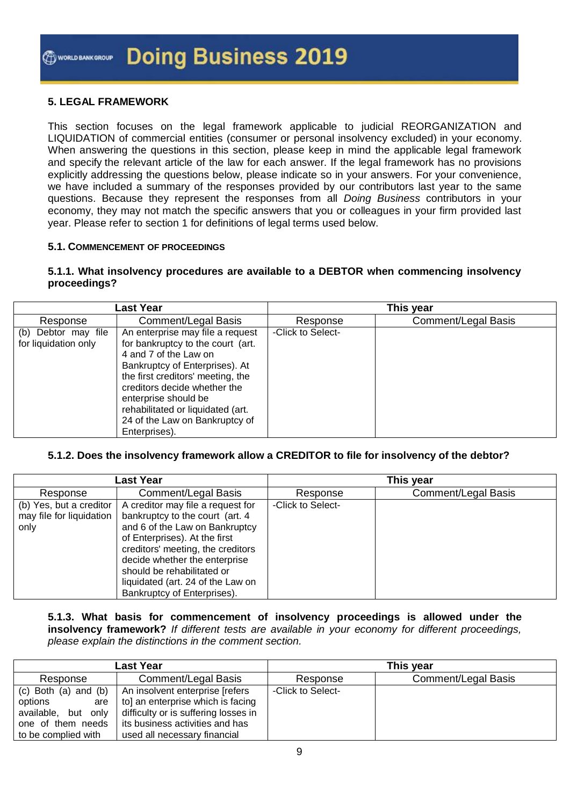### **5. LEGAL FRAMEWORK**

This section focuses on the legal framework applicable to judicial REORGANIZATION and LIQUIDATION of commercial entities (consumer or personal insolvency excluded) in your economy. When answering the questions in this section, please keep in mind the applicable legal framework and specify the relevant article of the law for each answer. If the legal framework has no provisions explicitly addressing the questions below, please indicate so in your answers. For your convenience, we have included a summary of the responses provided by our contributors last year to the same questions. Because they represent the responses from all *Doing Business* contributors in your economy, they may not match the specific answers that you or colleagues in your firm provided last year. Please refer to section 1 for definitions of legal terms used below.

#### **5.1. COMMENCEMENT OF PROCEEDINGS**

#### **5.1.1. What insolvency procedures are available to a DEBTOR when commencing insolvency proceedings?**

| Last Year                                   |                                                                                                                                                                                                                                                                                                                       |                   | This year                  |
|---------------------------------------------|-----------------------------------------------------------------------------------------------------------------------------------------------------------------------------------------------------------------------------------------------------------------------------------------------------------------------|-------------------|----------------------------|
| Response                                    | <b>Comment/Legal Basis</b>                                                                                                                                                                                                                                                                                            | Response          | <b>Comment/Legal Basis</b> |
| (b) Debtor may file<br>for liquidation only | An enterprise may file a request<br>for bankruptcy to the court (art.<br>4 and 7 of the Law on<br>Bankruptcy of Enterprises). At<br>the first creditors' meeting, the<br>creditors decide whether the<br>enterprise should be<br>rehabilitated or liquidated (art.<br>24 of the Law on Bankruptcy of<br>Enterprises). | -Click to Select- |                            |

#### **5.1.2. Does the insolvency framework allow a CREDITOR to file for insolvency of the debtor?**

| Last Year                                                   |                                                                                                                                                                                                                                                                                                                  |                   | This year           |
|-------------------------------------------------------------|------------------------------------------------------------------------------------------------------------------------------------------------------------------------------------------------------------------------------------------------------------------------------------------------------------------|-------------------|---------------------|
| Response                                                    | Comment/Legal Basis                                                                                                                                                                                                                                                                                              | Response          | Comment/Legal Basis |
| (b) Yes, but a creditor<br>may file for liquidation<br>only | A creditor may file a request for<br>bankruptcy to the court (art. 4)<br>and 6 of the Law on Bankruptcy<br>of Enterprises). At the first<br>creditors' meeting, the creditors<br>decide whether the enterprise<br>should be rehabilitated or<br>liquidated (art. 24 of the Law on<br>Bankruptcy of Enterprises). | -Click to Select- |                     |

**5.1.3. What basis for commencement of insolvency proceedings is allowed under the insolvency framework?** *If different tests are available in your economy for different proceedings, please explain the distinctions in the comment section.*

| Last Year                                                           |                                                                                                              |                   | This year           |
|---------------------------------------------------------------------|--------------------------------------------------------------------------------------------------------------|-------------------|---------------------|
| Response                                                            | Comment/Legal Basis                                                                                          | Response          | Comment/Legal Basis |
| $(c)$ Both $(a)$ and $(b)$<br>options<br>are<br>available, but only | An insolvent enterprise [refers<br>to] an enterprise which is facing<br>difficulty or is suffering losses in | -Click to Select- |                     |
| one of them needs<br>to be complied with                            | its business activities and has<br>used all necessary financial                                              |                   |                     |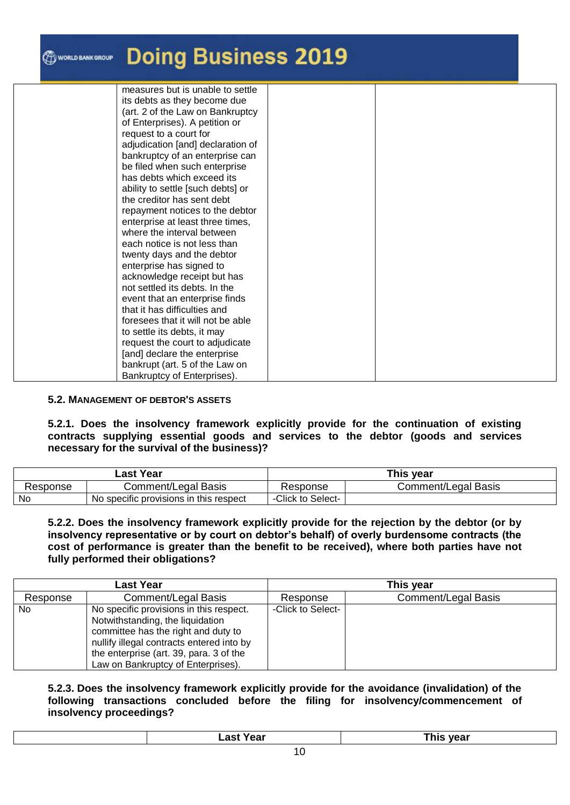| WORLD BANK GROUP | <b>Doing Business 2019</b>                                   |
|------------------|--------------------------------------------------------------|
|                  | measures but is unable to settle                             |
|                  | its debts as they become due                                 |
|                  | (art. 2 of the Law on Bankruptcy                             |
|                  | of Enterprises). A petition or<br>request to a court for     |
|                  | adjudication [and] declaration of                            |
|                  | bankruptcy of an enterprise can                              |
|                  | be filed when such enterprise                                |
|                  | has debts which exceed its                                   |
|                  | ability to settle [such debts] or                            |
|                  | the creditor has sent debt                                   |
|                  | repayment notices to the debtor                              |
|                  | enterprise at least three times,                             |
|                  | where the interval between                                   |
|                  | each notice is not less than                                 |
|                  | twenty days and the debtor                                   |
|                  | enterprise has signed to                                     |
|                  | acknowledge receipt but has<br>not settled its debts. In the |
|                  | event that an enterprise finds                               |
|                  | that it has difficulties and                                 |
|                  | foresees that it will not be able                            |
|                  | to settle its debts, it may                                  |
|                  | request the court to adjudicate                              |
|                  | [and] declare the enterprise                                 |
|                  | bankrupt (art. 5 of the Law on                               |
|                  | Bankruptcy of Enterprises).                                  |

#### **5.2. MANAGEMENT OF DEBTOR'S ASSETS**

**5.2.1. Does the insolvency framework explicitly provide for the continuation of existing contracts supplying essential goods and services to the debtor (goods and services necessary for the survival of the business)?**

| ∟ast Year |                                        |                   | This year           |
|-----------|----------------------------------------|-------------------|---------------------|
| Response  | Comment/Legal Basis                    | Response          | Comment/Legal Basis |
| . No      | No specific provisions in this respect | -Click to Select- |                     |

**5.2.2. Does the insolvency framework explicitly provide for the rejection by the debtor (or by insolvency representative or by court on debtor's behalf) of overly burdensome contracts (the cost of performance is greater than the benefit to be received), where both parties have not fully performed their obligations?**

| Last Year |                                                                                                                                                                                                                                                  |                   | This year           |
|-----------|--------------------------------------------------------------------------------------------------------------------------------------------------------------------------------------------------------------------------------------------------|-------------------|---------------------|
| Response  | Comment/Legal Basis                                                                                                                                                                                                                              | Response          | Comment/Legal Basis |
| No.       | No specific provisions in this respect.<br>Notwithstanding, the liquidation<br>committee has the right and duty to<br>nullify illegal contracts entered into by<br>the enterprise (art. 39, para. 3 of the<br>Law on Bankruptcy of Enterprises). | -Click to Select- |                     |

**5.2.3. Does the insolvency framework explicitly provide for the avoidance (invalidation) of the following transactions concluded before the filing for insolvency/commencement of insolvency proceedings?**

|  | --<br>200<br>-car | $. VQ^*$<br>nie<br>. |
|--|-------------------|----------------------|
|  |                   |                      |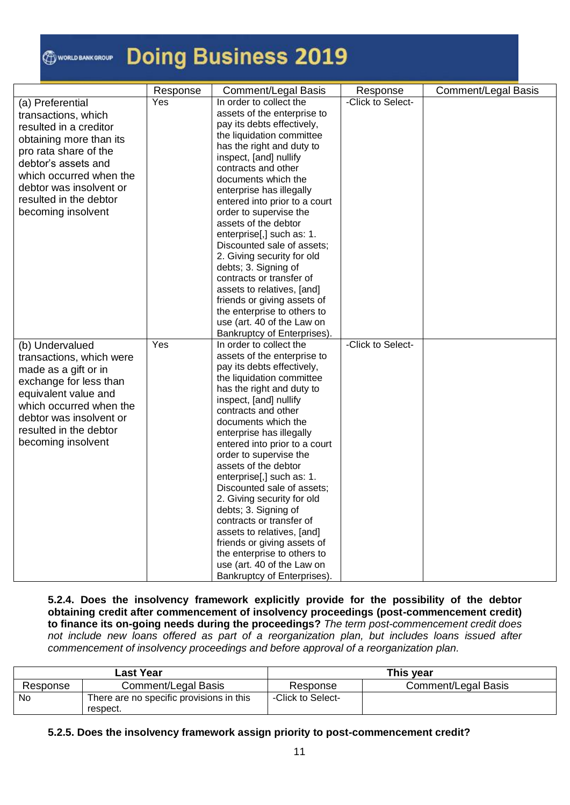# **Doing Business 2019**

|                                                                                                                                                                                                                                                    | Response | Comment/Legal Basis                                                                                                                                                                                                                                                                                                                                                                                                                                                                                                                                                                                                                         | Response          | Comment/Legal Basis |
|----------------------------------------------------------------------------------------------------------------------------------------------------------------------------------------------------------------------------------------------------|----------|---------------------------------------------------------------------------------------------------------------------------------------------------------------------------------------------------------------------------------------------------------------------------------------------------------------------------------------------------------------------------------------------------------------------------------------------------------------------------------------------------------------------------------------------------------------------------------------------------------------------------------------------|-------------------|---------------------|
| (a) Preferential<br>transactions, which<br>resulted in a creditor<br>obtaining more than its<br>pro rata share of the<br>debtor's assets and<br>which occurred when the<br>debtor was insolvent or<br>resulted in the debtor<br>becoming insolvent | Yes      | In order to collect the<br>assets of the enterprise to<br>pay its debts effectively,<br>the liquidation committee<br>has the right and duty to<br>inspect, [and] nullify<br>contracts and other<br>documents which the<br>enterprise has illegally<br>entered into prior to a court<br>order to supervise the<br>assets of the debtor<br>enterprise[,] such as: 1.<br>Discounted sale of assets;<br>2. Giving security for old<br>debts; 3. Signing of<br>contracts or transfer of<br>assets to relatives, [and]<br>friends or giving assets of<br>the enterprise to others to                                                              | -Click to Select- |                     |
|                                                                                                                                                                                                                                                    |          | use (art. 40 of the Law on<br>Bankruptcy of Enterprises).                                                                                                                                                                                                                                                                                                                                                                                                                                                                                                                                                                                   |                   |                     |
| (b) Undervalued<br>transactions, which were<br>made as a gift or in<br>exchange for less than<br>equivalent value and<br>which occurred when the<br>debtor was insolvent or<br>resulted in the debtor<br>becoming insolvent                        | Yes      | In order to collect the<br>assets of the enterprise to<br>pay its debts effectively,<br>the liquidation committee<br>has the right and duty to<br>inspect, [and] nullify<br>contracts and other<br>documents which the<br>enterprise has illegally<br>entered into prior to a court<br>order to supervise the<br>assets of the debtor<br>enterprise[,] such as: 1.<br>Discounted sale of assets;<br>2. Giving security for old<br>debts; 3. Signing of<br>contracts or transfer of<br>assets to relatives, [and]<br>friends or giving assets of<br>the enterprise to others to<br>use (art. 40 of the Law on<br>Bankruptcy of Enterprises). | -Click to Select- |                     |

**5.2.4. Does the insolvency framework explicitly provide for the possibility of the debtor obtaining credit after commencement of insolvency proceedings (post-commencement credit) to finance its on-going needs during the proceedings?** *The term post-commencement credit does not include new loans offered as part of a reorganization plan, but includes loans issued after commencement of insolvency proceedings and before approval of a reorganization plan.*

| Last Year |                                                      |                   | This year           |
|-----------|------------------------------------------------------|-------------------|---------------------|
| Response  | Comment/Legal Basis                                  | Response          | Comment/Legal Basis |
| No        | There are no specific provisions in this<br>respect. | -Click to Select- |                     |

**5.2.5. Does the insolvency framework assign priority to post-commencement credit?**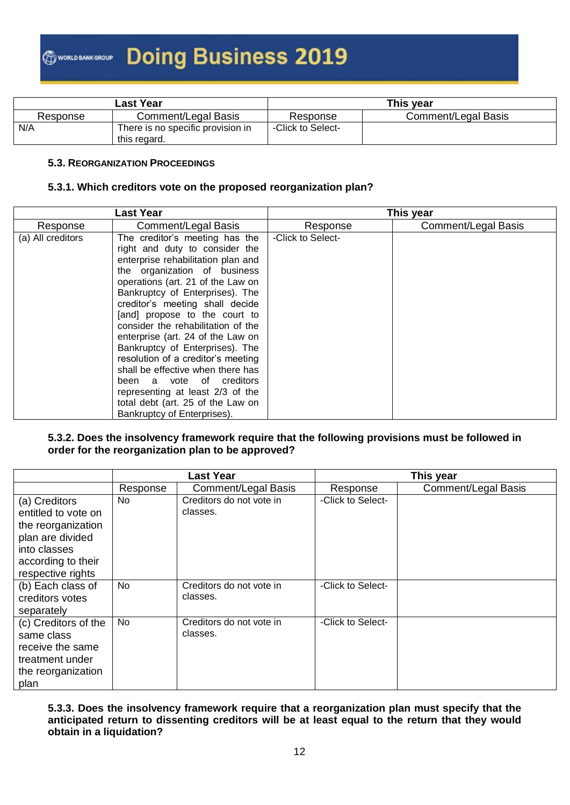| Last Year |                                   |                   | This year           |
|-----------|-----------------------------------|-------------------|---------------------|
| Response  | Comment/Legal Basis               | Response          | Comment/Legal Basis |
| N/A       | There is no specific provision in | -Click to Select- |                     |
|           | this regard.                      |                   |                     |

#### **5.3. REORGANIZATION PROCEEDINGS**

#### **5.3.1. Which creditors vote on the proposed reorganization plan?**

| Last Year         |                                                                                                                                                                                                                                                                                                                                                                                                                                                                                                                                                                                                                 |                   | This year           |
|-------------------|-----------------------------------------------------------------------------------------------------------------------------------------------------------------------------------------------------------------------------------------------------------------------------------------------------------------------------------------------------------------------------------------------------------------------------------------------------------------------------------------------------------------------------------------------------------------------------------------------------------------|-------------------|---------------------|
| Response          | Comment/Legal Basis                                                                                                                                                                                                                                                                                                                                                                                                                                                                                                                                                                                             | Response          | Comment/Legal Basis |
| (a) All creditors | The creditor's meeting has the<br>right and duty to consider the<br>enterprise rehabilitation plan and<br>the organization of business<br>operations (art. 21 of the Law on<br>Bankruptcy of Enterprises). The<br>creditor's meeting shall decide<br>[and] propose to the court to<br>consider the rehabilitation of the<br>enterprise (art. 24 of the Law on<br>Bankruptcy of Enterprises). The<br>resolution of a creditor's meeting<br>shall be effective when there has<br>been a vote of creditors<br>representing at least 2/3 of the<br>total debt (art. 25 of the Law on<br>Bankruptcy of Enterprises). | -Click to Select- |                     |

#### **5.3.2. Does the insolvency framework require that the following provisions must be followed in order for the reorganization plan to be approved?**

|                                                                                                                                           | <b>Last Year</b> |                                      | This year         |                     |  |
|-------------------------------------------------------------------------------------------------------------------------------------------|------------------|--------------------------------------|-------------------|---------------------|--|
|                                                                                                                                           | Response         | <b>Comment/Legal Basis</b>           | Response          | Comment/Legal Basis |  |
| (a) Creditors<br>entitled to vote on<br>the reorganization<br>plan are divided<br>into classes<br>according to their<br>respective rights | No               | Creditors do not vote in<br>classes. | -Click to Select- |                     |  |
| (b) Each class of<br>creditors votes<br>separately                                                                                        | <b>No</b>        | Creditors do not vote in<br>classes. | -Click to Select- |                     |  |
| (c) Creditors of the<br>same class<br>receive the same<br>treatment under<br>the reorganization<br>plan                                   | <b>No</b>        | Creditors do not vote in<br>classes. | -Click to Select- |                     |  |

#### **5.3.3. Does the insolvency framework require that a reorganization plan must specify that the anticipated return to dissenting creditors will be at least equal to the return that they would obtain in a liquidation?**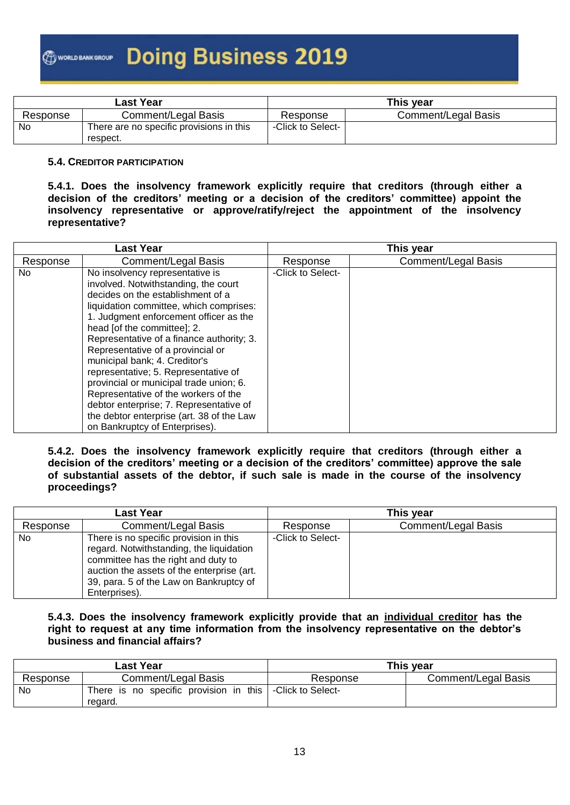| ∟ast Year |                                          |                   | This year           |
|-----------|------------------------------------------|-------------------|---------------------|
| Response  | Comment/Legal Basis                      | Response          | Comment/Legal Basis |
| <b>No</b> | There are no specific provisions in this | -Click to Select- |                     |
|           | respect.                                 |                   |                     |

#### **5.4. CREDITOR PARTICIPATION**

**5.4.1. Does the insolvency framework explicitly require that creditors (through either a decision of the creditors' meeting or a decision of the creditors' committee) appoint the insolvency representative or approve/ratify/reject the appointment of the insolvency representative?** 

|          | <b>Last Year</b>                                                                                                                                                                                                                                                                                                                                                                                                                                                                                                                                                                                         |                   | This year           |
|----------|----------------------------------------------------------------------------------------------------------------------------------------------------------------------------------------------------------------------------------------------------------------------------------------------------------------------------------------------------------------------------------------------------------------------------------------------------------------------------------------------------------------------------------------------------------------------------------------------------------|-------------------|---------------------|
| Response | Comment/Legal Basis                                                                                                                                                                                                                                                                                                                                                                                                                                                                                                                                                                                      | Response          | Comment/Legal Basis |
| No.      | No insolvency representative is<br>involved. Notwithstanding, the court<br>decides on the establishment of a<br>liquidation committee, which comprises:<br>1. Judgment enforcement officer as the<br>head [of the committee]; 2.<br>Representative of a finance authority; 3.<br>Representative of a provincial or<br>municipal bank; 4. Creditor's<br>representative; 5. Representative of<br>provincial or municipal trade union; 6.<br>Representative of the workers of the<br>debtor enterprise; 7. Representative of<br>the debtor enterprise (art. 38 of the Law<br>on Bankruptcy of Enterprises). | -Click to Select- |                     |

**5.4.2. Does the insolvency framework explicitly require that creditors (through either a decision of the creditors' meeting or a decision of the creditors' committee) approve the sale of substantial assets of the debtor, if such sale is made in the course of the insolvency proceedings?** 

|          | Last Year                                                                                                                                                                                                                           |                   | This year           |
|----------|-------------------------------------------------------------------------------------------------------------------------------------------------------------------------------------------------------------------------------------|-------------------|---------------------|
| Response | Comment/Legal Basis                                                                                                                                                                                                                 | Response          | Comment/Legal Basis |
| No.      | There is no specific provision in this<br>regard. Notwithstanding, the liquidation<br>committee has the right and duty to<br>auction the assets of the enterprise (art.<br>39, para. 5 of the Law on Bankruptcy of<br>Enterprises). | -Click to Select- |                     |

#### **5.4.3. Does the insolvency framework explicitly provide that an individual creditor has the right to request at any time information from the insolvency representative on the debtor's business and financial affairs?**

| ∟ast Year |                                                                       |          | This year           |
|-----------|-----------------------------------------------------------------------|----------|---------------------|
| Response  | Comment/Legal Basis                                                   | Response | Comment/Legal Basis |
| No.       | There is no specific provision in this   -Click to Select-<br>regard. |          |                     |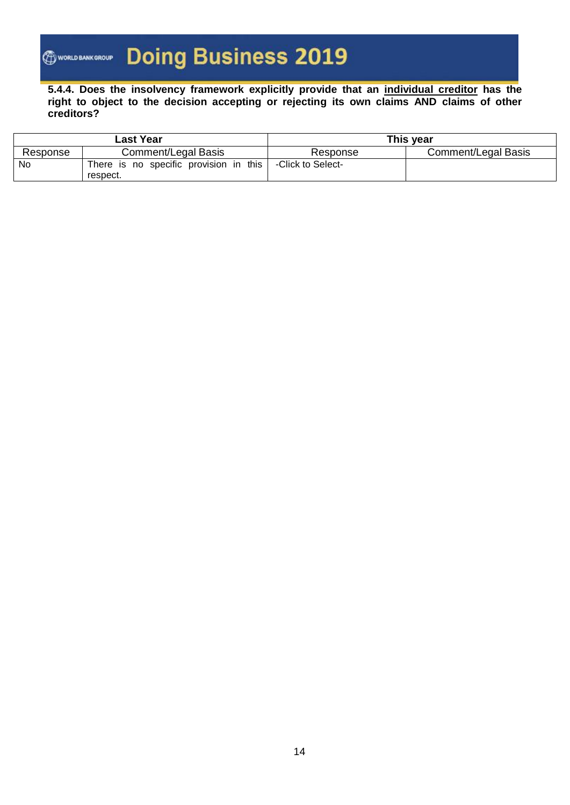**5.4.4. Does the insolvency framework explicitly provide that an individual creditor has the right to object to the decision accepting or rejecting its own claims AND claims of other creditors?**

| ∟ast Year |                                                    |                   | This vear           |
|-----------|----------------------------------------------------|-------------------|---------------------|
| Response  | Comment/Legal Basis                                | Response          | Comment/Legal Basis |
| No        | There is no specific provision in this<br>respect. | -Click to Select- |                     |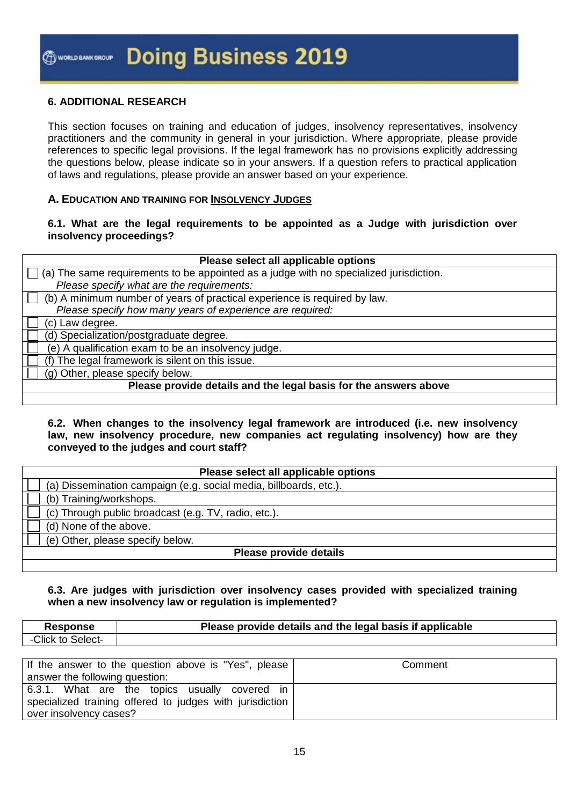### **6. ADDITIONAL RESEARCH**

This section focuses on training and education of judges, insolvency representatives, insolvency practitioners and the community in general in your jurisdiction. Where appropriate, please provide references to specific legal provisions. If the legal framework has no provisions explicitly addressing the questions below, please indicate so in your answers. If a question refers to practical application of laws and regulations, please provide an answer based on your experience.

#### **A. EDUCATION AND TRAINING FOR INSOLVENCY JUDGES**

#### **6.1. What are the legal requirements to be appointed as a Judge with jurisdiction over insolvency proceedings?**

| Please select all applicable options                                                   |
|----------------------------------------------------------------------------------------|
| (a) The same requirements to be appointed as a judge with no specialized jurisdiction. |
| Please specify what are the requirements:                                              |
| (b) A minimum number of years of practical experience is required by law.              |
| Please specify how many years of experience are required:                              |
| (c) Law degree.                                                                        |
| (d) Specialization/postgraduate degree.                                                |
| (e) A qualification exam to be an insolvency judge.                                    |
| (f) The legal framework is silent on this issue.                                       |
| (g) Other, please specify below.                                                       |
| Please provide details and the legal basis for the answers above                       |
|                                                                                        |

#### **6.2. When changes to the insolvency legal framework are introduced (i.e. new insolvency law, new insolvency procedure, new companies act regulating insolvency) how are they conveyed to the judges and court staff?**

| Please select all applicable options                              |  |  |
|-------------------------------------------------------------------|--|--|
| (a) Dissemination campaign (e.g. social media, billboards, etc.). |  |  |
| (b) Training/workshops.                                           |  |  |
| (c) Through public broadcast (e.g. TV, radio, etc.).              |  |  |
| (d) None of the above.                                            |  |  |
| (e) Other, please specify below.                                  |  |  |
| Please provide details                                            |  |  |
|                                                                   |  |  |

#### **6.3. Are judges with jurisdiction over insolvency cases provided with specialized training when a new insolvency law or regulation is implemented?**

| <b>Response</b>                                          | Please provide details and the legal basis if applicable |         |
|----------------------------------------------------------|----------------------------------------------------------|---------|
| -Click to Select-                                        |                                                          |         |
|                                                          |                                                          |         |
|                                                          | If the answer to the question above is "Yes", please     | Comment |
| answer the following question:                           |                                                          |         |
|                                                          | 6.3.1. What are the topics usually covered in            |         |
| specialized training offered to judges with jurisdiction |                                                          |         |
| over insolvency cases?                                   |                                                          |         |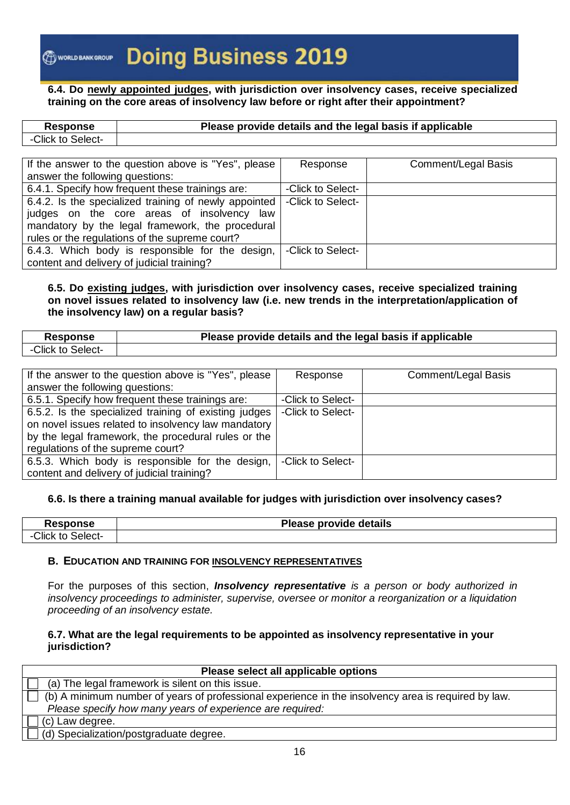**6.4. Do newly appointed judges, with jurisdiction over insolvency cases, receive specialized training on the core areas of insolvency law before or right after their appointment?**

| <b>Response</b>  | Please provide details and the legal basis if applicable |
|------------------|----------------------------------------------------------|
| Click to Select- |                                                          |

| If the answer to the question above is "Yes", please  | Response          | Comment/Legal Basis |
|-------------------------------------------------------|-------------------|---------------------|
| answer the following questions:                       |                   |                     |
| 6.4.1. Specify how frequent these trainings are:      | -Click to Select- |                     |
| 6.4.2. Is the specialized training of newly appointed | -Click to Select- |                     |
| judges on the core areas of insolvency law            |                   |                     |
| mandatory by the legal framework, the procedural      |                   |                     |
| rules or the regulations of the supreme court?        |                   |                     |
| 6.4.3. Which body is responsible for the design,      | -Click to Select- |                     |
| content and delivery of judicial training?            |                   |                     |

**6.5. Do existing judges, with jurisdiction over insolvency cases, receive specialized training on novel issues related to insolvency law (i.e. new trends in the interpretation/application of the insolvency law) on a regular basis?**

| <b>Response</b>  | Please provide details and the legal basis if applicable |
|------------------|----------------------------------------------------------|
| Click to Select- |                                                          |

| If the answer to the question above is "Yes", please<br>answer the following questions:                                                                                                                  | Response          | Comment/Legal Basis |
|----------------------------------------------------------------------------------------------------------------------------------------------------------------------------------------------------------|-------------------|---------------------|
| 6.5.1. Specify how frequent these trainings are:                                                                                                                                                         | -Click to Select- |                     |
| 6.5.2. Is the specialized training of existing judges<br>on novel issues related to insolvency law mandatory<br>by the legal framework, the procedural rules or the<br>regulations of the supreme court? | -Click to Select- |                     |
| 6.5.3. Which body is responsible for the design,<br>content and delivery of judicial training?                                                                                                           | -Click to Select- |                     |

#### **6.6. Is there a training manual available for judges with jurisdiction over insolvency cases?**

|                        | Please provide details |  |
|------------------------|------------------------|--|
| $C$ lick to<br>Select- |                        |  |

#### **B. EDUCATION AND TRAINING FOR INSOLVENCY REPRESENTATIVES**

For the purposes of this section, *Insolvency representative is a person or body authorized in insolvency proceedings to administer, supervise, oversee or monitor a reorganization or a liquidation proceeding of an insolvency estate.*

#### **6.7. What are the legal requirements to be appointed as insolvency representative in your jurisdiction?**

| Please select all applicable options                                                                |
|-----------------------------------------------------------------------------------------------------|
| (a) The legal framework is silent on this issue.                                                    |
| (b) A minimum number of years of professional experience in the insolvency area is required by law. |
| Please specify how many years of experience are required:                                           |
| (c) Law degree.                                                                                     |
| (d) Specialization/postgraduate degree.                                                             |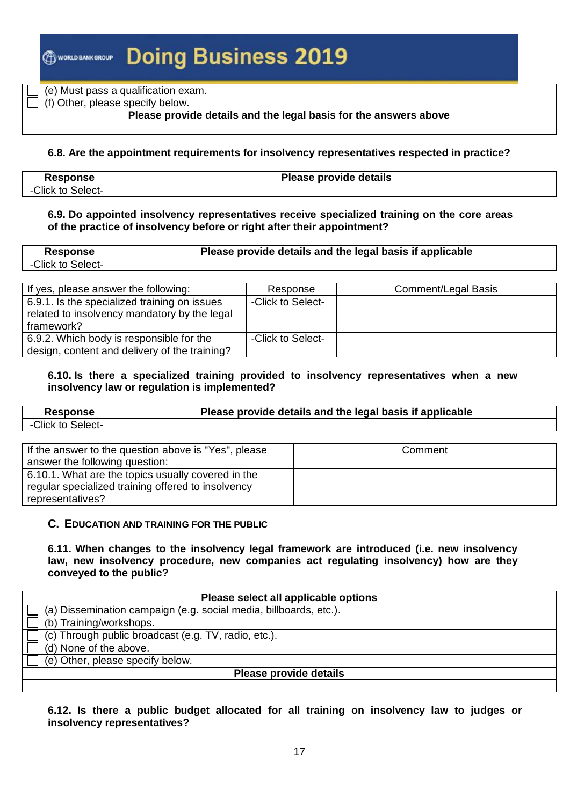(e) Must pass a qualification exam.

(f) Other, please specify below.

#### **Please provide details and the legal basis for the answers above**

#### **6.8. Are the appointment requirements for insolvency representatives respected in practice?**

| Response         | Please provide details |
|------------------|------------------------|
| Click to Select- |                        |

#### **6.9. Do appointed insolvency representatives receive specialized training on the core areas of the practice of insolvency before or right after their appointment?**

| <b>Response</b>  | Please provide details and the legal basis if applicable |
|------------------|----------------------------------------------------------|
| Click to Select- |                                                          |

| If yes, please answer the following:                                                                       | Response          | Comment/Legal Basis |
|------------------------------------------------------------------------------------------------------------|-------------------|---------------------|
| 6.9.1. Is the specialized training on issues<br>related to insolvency mandatory by the legal<br>framework? | -Click to Select- |                     |
| 6.9.2. Which body is responsible for the<br>design, content and delivery of the training?                  | -Click to Select- |                     |

#### **6.10. Is there a specialized training provided to insolvency representatives when a new insolvency law or regulation is implemented?**

| <b>Response</b>                                      | Please provide details and the legal basis if applicable |         |
|------------------------------------------------------|----------------------------------------------------------|---------|
| -Click to Select-                                    |                                                          |         |
|                                                      |                                                          |         |
| If the answer to the question above is "Yes", please |                                                          | Comment |
| answer the following question:                       |                                                          |         |
| 6.10.1. What are the topics usually covered in the   |                                                          |         |
| regular specialized training offered to insolvency   |                                                          |         |
| representatives?                                     |                                                          |         |

#### **C. EDUCATION AND TRAINING FOR THE PUBLIC**

**6.11. When changes to the insolvency legal framework are introduced (i.e. new insolvency law, new insolvency procedure, new companies act regulating insolvency) how are they conveyed to the public?**

| Please select all applicable options                              |  |  |  |
|-------------------------------------------------------------------|--|--|--|
| (a) Dissemination campaign (e.g. social media, billboards, etc.). |  |  |  |
| (b) Training/workshops.                                           |  |  |  |
| (c) Through public broadcast (e.g. TV, radio, etc.).              |  |  |  |
| (d) None of the above.                                            |  |  |  |
| (e) Other, please specify below.                                  |  |  |  |
| Please provide details                                            |  |  |  |
|                                                                   |  |  |  |

**6.12. Is there a public budget allocated for all training on insolvency law to judges or insolvency representatives?**